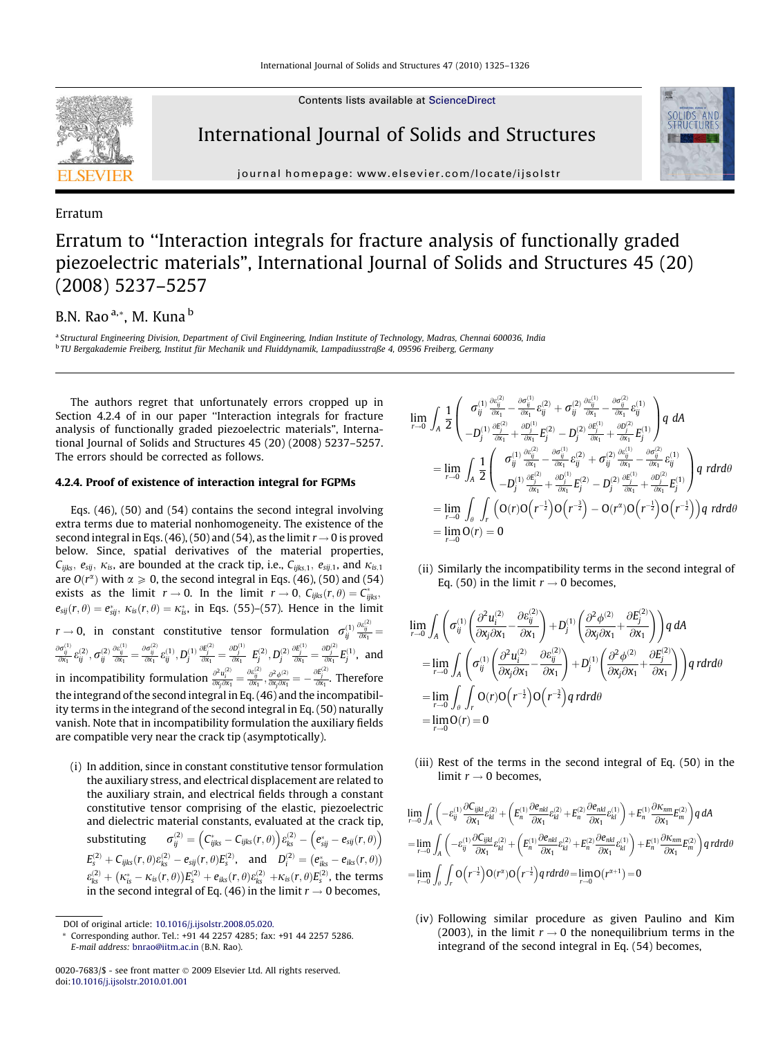

Contents lists available at [ScienceDirect](http://www.sciencedirect.com/science/journal/00207683)

## International Journal of Solids and Structures

journal homepage: [www.elsevier.com/locate/ijsolstr](http://www.elsevier.com/locate/ijsolstr)

#### Erratum

# Erratum to ''Interaction integrals for fracture analysis of functionally graded piezoelectric materials", International Journal of Solids and Structures 45 (20) (2008) 5237–5257

### B.N. Rao<sup>a,\*</sup>, M. Kuna<sup>b</sup>

<sup>a</sup> Structural Engineering Division, Department of Civil Engineering, Indian Institute of Technology, Madras, Chennai 600036, India <sup>b</sup> TU Bergakademie Freiberg, Institut für Mechanik und Fluiddynamik, Lampadiusstraße 4, 09596 Freiberg, Germany

The authors regret that unfortunately errors cropped up in Section 4.2.4 of in our paper ''Interaction integrals for fracture analysis of functionally graded piezoelectric materials", International Journal of Solids and Structures 45 (20) (2008) 5237–5257. The errors should be corrected as follows.

#### 4.2.4. Proof of existence of interaction integral for FGPMs

Eqs. (46), (50) and (54) contains the second integral involving extra terms due to material nonhomogeneity. The existence of the second integral in Eqs. (46), (50) and (54), as the limit  $r \rightarrow 0$  is proved below. Since, spatial derivatives of the material properties,  $C_{ijks}$ ,  $e_{sij}$ ,  $\kappa_{is}$ , are bounded at the crack tip, i.e.,  $C_{ijks,1}$ ,  $e_{sij,1}$ , and  $\kappa_{is,1}$ are  $O(r^{\alpha})$  with  $\alpha \geqslant 0$ , the second integral in Eqs. (46), (50) and (54) exists as the limit  $r \to 0$ . In the limit  $r \to 0$ ,  $C_{ijks}(r, \theta) = C_{ijks}^*$  $e_{sij}(r, \theta) = e_{sij}^*$ ,  $\kappa_{is}(r, \theta) = \kappa_{is}^*$ , in Eqs. (55)–(57). Hence in the limit  $r\to 0$ , in constant constitutive tensor formulation  $\sigma^{(1)}_{ij}\frac{\partial e^{(2)}_{ij}}{\partial x_1}=$  $\frac{\partial \sigma^{(1)}_{ij}}{\partial \mathsf{x}_1} \mathcal{E}^{(2)}_{\mathit{ij}}, \, \boldsymbol{\sigma}^{(2)}_{\mathit{ij}} \frac{\partial \mathcal{E}^{(1)}_{\mathit{ij}}}{\partial \mathsf{x}_1} = \frac{\partial \sigma^{(2)}_{\mathit{ij}}}{\partial \mathsf{x}_1} \mathcal{E}^{(1)}_{\mathit{ij}}, \, D^{(1)}_{\mathit{j}}$  $\frac{\partial E_j^{(2)}}{\partial x_1} = \frac{\partial D_j^{(1)}}{\partial x_1}$   $E_j^{(2)}, D_j^{(2)}$  $\frac{\partial E_j^{(1)}}{\partial x_1} = \frac{\partial D_j^{(2)}}{\partial x_1} E_j^{(1)}$ , and in incompatibility formulation  $\frac{\partial^2 u_i^{(2)}}{\partial x_j \partial x_1} = \frac{\partial e_{ij}^{(2)}}{\partial x_1}, \frac{\partial^2 \phi^{(2)}}{\partial x_j \partial x_1} = -\frac{\partial E_j^{(2)}}{\partial x_1}$ . Therefore the integrand of the second integral in Eq. (46) and the incompatibility terms in the integrand of the second integral in Eq. (50) naturally vanish. Note that in incompatibility formulation the auxiliary fields are compatible very near the crack tip (asymptotically).

(i) In addition, since in constant constitutive tensor formulation the auxiliary stress, and electrical displacement are related to the auxiliary strain, and electrical fields through a constant constitutive tensor comprising of the elastic, piezoelectric and dielectric material constants, evaluated at the crack tip, substituting  $\hat{c}^{(2)}_{ij} = \left( C^{*}_{ijks} - C_{ijks}(r,\theta) \right) \hat{e}^{(2)}_{ks} - \left( e^{*}_{sij} - e_{sij}(r,\theta) \right) \hat{c}^{(2)}_{kj}$  $E_{s}^{(2)} + C_{ijks}(r, \theta) \varepsilon_{ks}^{(2)} - e_{sij}(r, \theta) E_{s}^{(2)}, \text{ and } D_{i}^{(2)} = (e_{iks}^{*} - e_{iks}(r, \theta))$  $\varepsilon_{ks}^{(2)} + (\kappa_{is}^* - \kappa_{is}(r,\theta))E_s^{(2)} + e_{iks}(r,\theta)\varepsilon_{ks}^{(2)} + \kappa_{is}(r,\theta)E_s^{(2)}$ , the terms in the second integral of Eq. (46) in the limit  $r \to 0$  becomes,

$$
\begin{split} \lim_{r \to 0} \,\,\int_{A} \,\,\frac{1}{2} \left( \begin{array}{c} \sigma_{ij}^{(1)} \,\frac{\partial \epsilon_{ij}^{(2)}}{\partial x_{1}} - \frac{\partial \sigma_{ij}^{(1)}}{\partial x_{1}} \, \epsilon_{ij}^{(2)} + \sigma_{ij}^{(2)} \,\frac{\partial \epsilon_{ij}^{(1)}}{\partial x_{1}} - \frac{\partial \sigma_{ij}^{(2)}}{\partial x_{1}} \, \epsilon_{ij}^{(1)} \\ - D_{j}^{(1)} \frac{\partial \epsilon_{j}^{(2)}}{\partial x_{1}} + \frac{\partial D_{j}^{(1)}}{\partial x_{1}} E_{j}^{(2)} - D_{j}^{(2)} \frac{\partial E_{j}^{(1)}}{\partial x_{1}} + \frac{\partial D_{j}^{(2)}}{\partial x_{1}} E_{j}^{(1)} \end{array} \right) q \,\, dA \\ = \lim_{r \to 0} \,\,\int_{A} \,\frac{1}{2} \left( \begin{array}{cc} \sigma_{ij}^{(1)} \frac{\partial \epsilon_{ij}^{(2)}}{\partial x_{1}} - \frac{\partial \sigma_{ij}^{(1)}}{\partial x_{1}} \, \epsilon_{ij}^{(2)} + \sigma_{ij}^{(2)} \frac{\partial \epsilon_{ij}^{(1)}}{\partial x_{1}} - \frac{\partial \sigma_{ij}^{(2)}}{\partial x_{1}} \, \epsilon_{ij}^{(1)} \\ - D_{j}^{(1)} \frac{\partial E_{j}^{(2)}}{\partial x_{1}} + \frac{\partial D_{j}^{(1)}}{\partial x_{1}} E_{j}^{(2)} - D_{j}^{(2)} \frac{\partial E_{j}^{(1)}}{\partial x_{1}} + \frac{\partial D_{j}^{(2)}}{\partial x_{1}} E_{j}^{(1)} \end{array} \right) q \,\, r dr d\theta \\ = \lim_{r \to 0} \,\,\int_{\theta} \,\,\int_{r} \,\left( O(r) O\left( r^{-\frac{1}{2}} \right) O\left( r^{-\frac{3}{2}} \right) - O(r^{2}) O\left( r^{-\frac{1}{2}} \right) O\left( r^{-\frac{1}{2}} \right) \right) q \,\, r dr d\theta \\ = \lim_{r \to 0} O(r) = 0 \end{split}
$$

(ii) Similarly the incompatibility terms in the second integral of Eq. (50) in the limit  $r \to 0$  becomes,

$$
\lim_{r \to 0} \int_{A} \left( \sigma_{ij}^{(1)} \left( \frac{\partial^{2} u_{i}^{(2)}}{\partial x_{j} \partial x_{1}} - \frac{\partial \varepsilon_{ij}^{(2)}}{\partial x_{1}} \right) + D_{j}^{(1)} \left( \frac{\partial^{2} \phi^{(2)}}{\partial x_{j} \partial x_{1}} + \frac{\partial E_{j}^{(2)}}{\partial x_{1}} \right) \right) q dA
$$
\n
$$
= \lim_{r \to 0} \int_{A} \left( \sigma_{ij}^{(1)} \left( \frac{\partial^{2} u_{i}^{(2)}}{\partial x_{j} \partial x_{1}} - \frac{\partial \varepsilon_{ij}^{(2)}}{\partial x_{1}} \right) + D_{j}^{(1)} \left( \frac{\partial^{2} \phi^{(2)}}{\partial x_{j} \partial x_{1}} + \frac{\partial E_{j}^{(2)}}{\partial x_{1}} \right) \right) q r dr d\theta
$$
\n
$$
= \lim_{r \to 0} \int_{\theta} \int_{r} O(r) O(r^{-\frac{1}{2}}) O(r^{-\frac{3}{2}}) q r dr d\theta
$$
\n
$$
= \lim_{r \to 0} O(r) = 0
$$

(iii) Rest of the terms in the second integral of Eq. (50) in the limit  $r \rightarrow 0$  becomes,

$$
\lim_{r\to 0}\int_{A}\left(-\varepsilon_{ij}^{(1)}\frac{\partial C_{ijkl}}{\partial x_{1}}\varepsilon_{kl}^{(2)}+\left(E_{n}^{(1)}\frac{\partial \varepsilon_{nkl}}{\partial x_{1}}\varepsilon_{kl}^{(2)}+E_{n}^{(2)}\frac{\partial \varepsilon_{nkl}}{\partial x_{1}}\varepsilon_{kl}^{(1)}\right)+E_{n}^{(1)}\frac{\partial \kappa_{nm}}{\partial x_{1}}E_{m}^{(2)}\right)q\,dA
$$
\n
$$
=\lim_{r\to 0}\int_{A}\left(-\varepsilon_{ij}^{(1)}\frac{\partial C_{ijkl}}{\partial x_{1}}\varepsilon_{kl}^{(2)}+\left(E_{n}^{(1)}\frac{\partial \varepsilon_{nkl}}{\partial x_{1}}\varepsilon_{kl}^{(2)}+E_{n}^{(2)}\frac{\partial \varepsilon_{nkl}}{\partial x_{1}}\varepsilon_{kl}^{(1)}\right)+E_{n}^{(1)}\frac{\partial \kappa_{nm}}{\partial x_{1}}E_{m}^{(2)}\right)q\,r dr d\theta
$$
\n
$$
=\lim_{r\to 0}\int_{\theta}\int_{r}O\left(r^{-\frac{1}{2}}\right)O\left(r^{2}\right)O\left(r^{-\frac{1}{2}}\right)q\,r dr d\theta=\lim_{r\to 0}O\left(r^{2+1}\right)=0
$$

(iv) Following similar procedure as given Paulino and Kim (2003), in the limit  $r \rightarrow 0$  the nonequilibrium terms in the integrand of the second integral in Eq. (54) becomes,

DOI of original article: [10.1016/j.ijsolstr.2008.05.020.](http://dx.doi.org/10.1016/j.ijsolstr.2008.05.020.)

Corresponding author. Tel.: +91 44 2257 4285; fax: +91 44 2257 5286. E-mail address: [bnrao@iitm.ac.in](mailto:bnrao@iitm.ac.in) (B.N. Rao).

<sup>0020-7683/\$ -</sup> see front matter © 2009 Elsevier Ltd. All rights reserved. doi[:10.1016/j.ijsolstr.2010.01.001](http://dx.doi.org/10.1016/j.ijsolstr.2010.01.001)